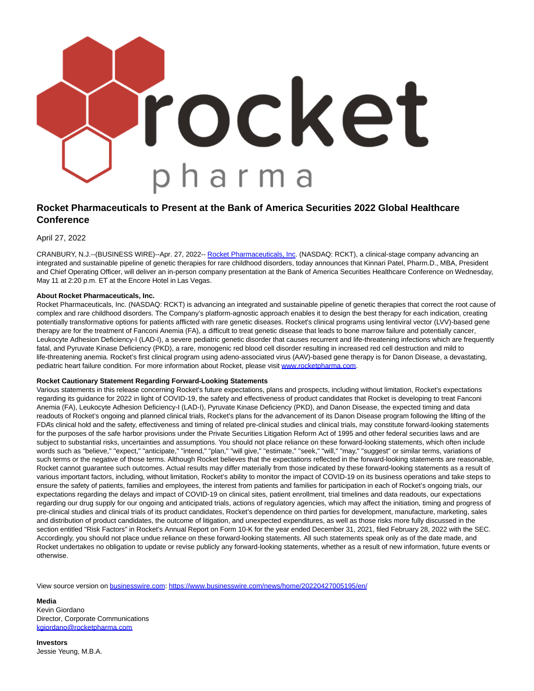

## **Rocket Pharmaceuticals to Present at the Bank of America Securities 2022 Global Healthcare Conference**

April 27, 2022

CRANBURY, N.J.--(BUSINESS WIRE)--Apr. 27, 2022-[- Rocket Pharmaceuticals, Inc.](https://cts.businesswire.com/ct/CT?id=smartlink&url=https%3A%2F%2Frocketpharma.com%2F&esheet=52698538&newsitemid=20220427005195&lan=en-US&anchor=Rocket+Pharmaceuticals%2C+Inc&index=1&md5=93dc2f029b3d72bd44372f5baf702775) (NASDAQ: RCKT), a clinical-stage company advancing an integrated and sustainable pipeline of genetic therapies for rare childhood disorders, today announces that Kinnari Patel, Pharm.D., MBA, President and Chief Operating Officer, will deliver an in-person company presentation at the Bank of America Securities Healthcare Conference on Wednesday, May 11 at 2:20 p.m. ET at the Encore Hotel in Las Vegas.

## **About Rocket Pharmaceuticals, Inc.**

Rocket Pharmaceuticals, Inc. (NASDAQ: RCKT) is advancing an integrated and sustainable pipeline of genetic therapies that correct the root cause of complex and rare childhood disorders. The Company's platform-agnostic approach enables it to design the best therapy for each indication, creating potentially transformative options for patients afflicted with rare genetic diseases. Rocket's clinical programs using lentiviral vector (LVV)-based gene therapy are for the treatment of Fanconi Anemia (FA), a difficult to treat genetic disease that leads to bone marrow failure and potentially cancer, Leukocyte Adhesion Deficiency-I (LAD-I), a severe pediatric genetic disorder that causes recurrent and life-threatening infections which are frequently fatal, and Pyruvate Kinase Deficiency (PKD), a rare, monogenic red blood cell disorder resulting in increased red cell destruction and mild to life-threatening anemia. Rocket's first clinical program using adeno-associated virus (AAV)-based gene therapy is for Danon Disease, a devastating, pediatric heart failure condition. For more information about Rocket, please visit [www.rocketpharma.com.](https://cts.businesswire.com/ct/CT?id=smartlink&url=http%3A%2F%2Fwww.rocketpharma.com&esheet=52698538&newsitemid=20220427005195&lan=en-US&anchor=www.rocketpharma.com&index=2&md5=dfd2bc3520830e5164bc1925d17375d4)

## **Rocket Cautionary Statement Regarding Forward-Looking Statements**

Various statements in this release concerning Rocket's future expectations, plans and prospects, including without limitation, Rocket's expectations regarding its guidance for 2022 in light of COVID-19, the safety and effectiveness of product candidates that Rocket is developing to treat Fanconi Anemia (FA), Leukocyte Adhesion Deficiency-I (LAD-I), Pyruvate Kinase Deficiency (PKD), and Danon Disease, the expected timing and data readouts of Rocket's ongoing and planned clinical trials, Rocket's plans for the advancement of its Danon Disease program following the lifting of the FDA's clinical hold and the safety, effectiveness and timing of related pre-clinical studies and clinical trials, may constitute forward-looking statements for the purposes of the safe harbor provisions under the Private Securities Litigation Reform Act of 1995 and other federal securities laws and are subject to substantial risks, uncertainties and assumptions. You should not place reliance on these forward-looking statements, which often include words such as "believe," "expect," "anticipate," "intend," "plan," "will give," "estimate," "seek," "will," "may," "suggest" or similar terms, variations of such terms or the negative of those terms. Although Rocket believes that the expectations reflected in the forward-looking statements are reasonable, Rocket cannot guarantee such outcomes. Actual results may differ materially from those indicated by these forward-looking statements as a result of various important factors, including, without limitation, Rocket's ability to monitor the impact of COVID-19 on its business operations and take steps to ensure the safety of patients, families and employees, the interest from patients and families for participation in each of Rocket's ongoing trials, our expectations regarding the delays and impact of COVID-19 on clinical sites, patient enrollment, trial timelines and data readouts, our expectations regarding our drug supply for our ongoing and anticipated trials, actions of regulatory agencies, which may affect the initiation, timing and progress of pre-clinical studies and clinical trials of its product candidates, Rocket's dependence on third parties for development, manufacture, marketing, sales and distribution of product candidates, the outcome of litigation, and unexpected expenditures, as well as those risks more fully discussed in the section entitled "Risk Factors" in Rocket's Annual Report on Form 10-K for the year ended December 31, 2021, filed February 28, 2022 with the SEC. Accordingly, you should not place undue reliance on these forward-looking statements. All such statements speak only as of the date made, and Rocket undertakes no obligation to update or revise publicly any forward-looking statements, whether as a result of new information, future events or otherwise.

View source version on [businesswire.com:](http://businesswire.com/)<https://www.businesswire.com/news/home/20220427005195/en/>

**Media** Kevin Giordano Director, Corporate Communications [kgiordano@rocketpharma.com](mailto:kgiordano@rocketpharma.com)

**Investors** Jessie Yeung, M.B.A.